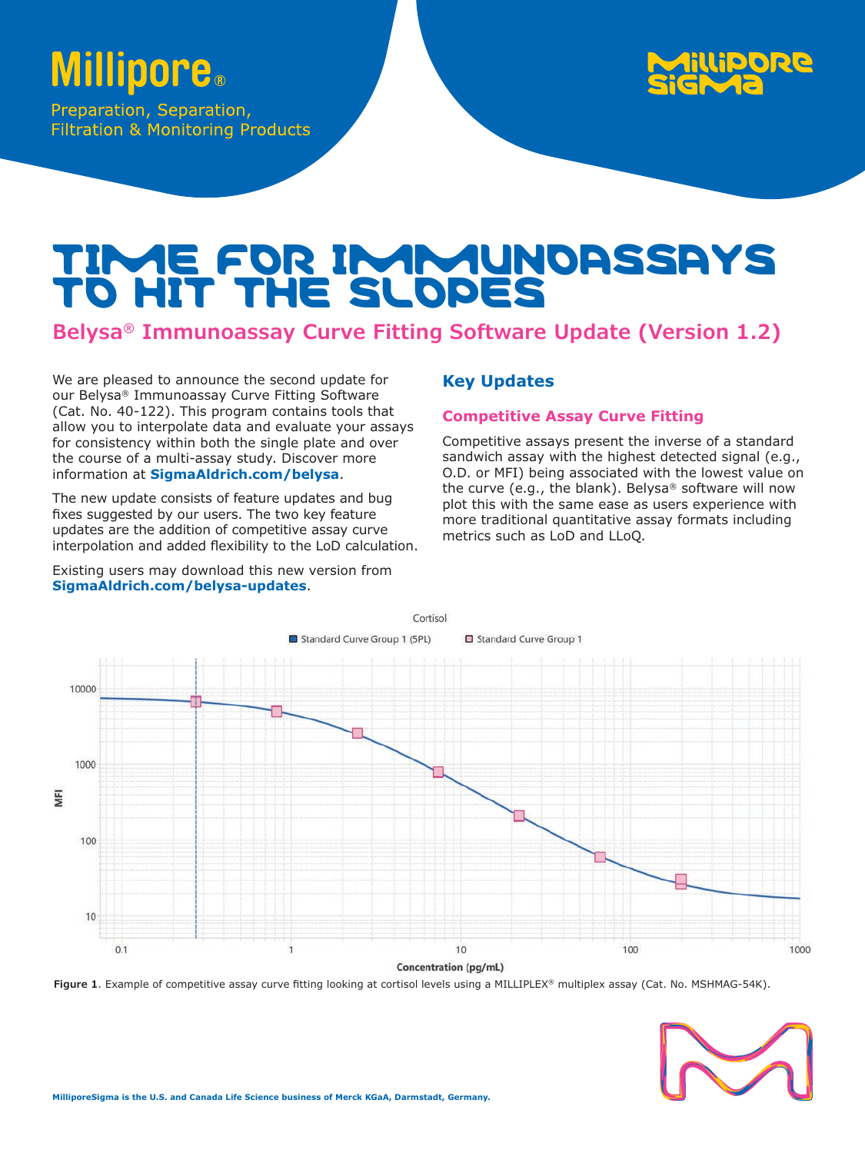# **Millipore**.

Preparation, Separation, **Filtration & Monitoring Products** 



## TIME FOR IMMUNOASSAYS TO HIT THE SLOPES

### **Belysa® Immunoassay Curve Fitting Software Update (Version 1.2)**

We are pleased to announce the second update for our Belysa® Immunoassay Curve Fitting Software (Cat. No. 40-122). This program contains tools that allow you to interpolate data and evaluate your assays for consistency within both the single plate and over the course of a multi-assay study. Discover more information at **[SigmaAldrich.com/belysa](http://SigmaAldrich.com/belysa)**.

The new update consists of feature updates and bug fixes suggested by our users. The two key feature updates are the addition of competitive assay curve interpolation and added flexibility to the LoD calculation.

Existing users may download this new version from **[SigmaAldrich.com/belysa-updates](http://SigmaAldrich.com/belysa-updates)**.

#### **Key Updates**

#### **Competitive Assay Curve Fitting**

Competitive assays present the inverse of a standard sandwich assay with the highest detected signal (e.g., O.D. or MFI) being associated with the lowest value on the curve (e.g., the blank). Belysa® software will now plot this with the same ease as users experience with more traditional quantitative assay formats including metrics such as LoD and LLoQ.



**Figure 1**. Example of competitive assay curve fitting looking at cortisol levels using a MILLIPLEX® multiplex assay (Cat. No. MSHMAG-54K).